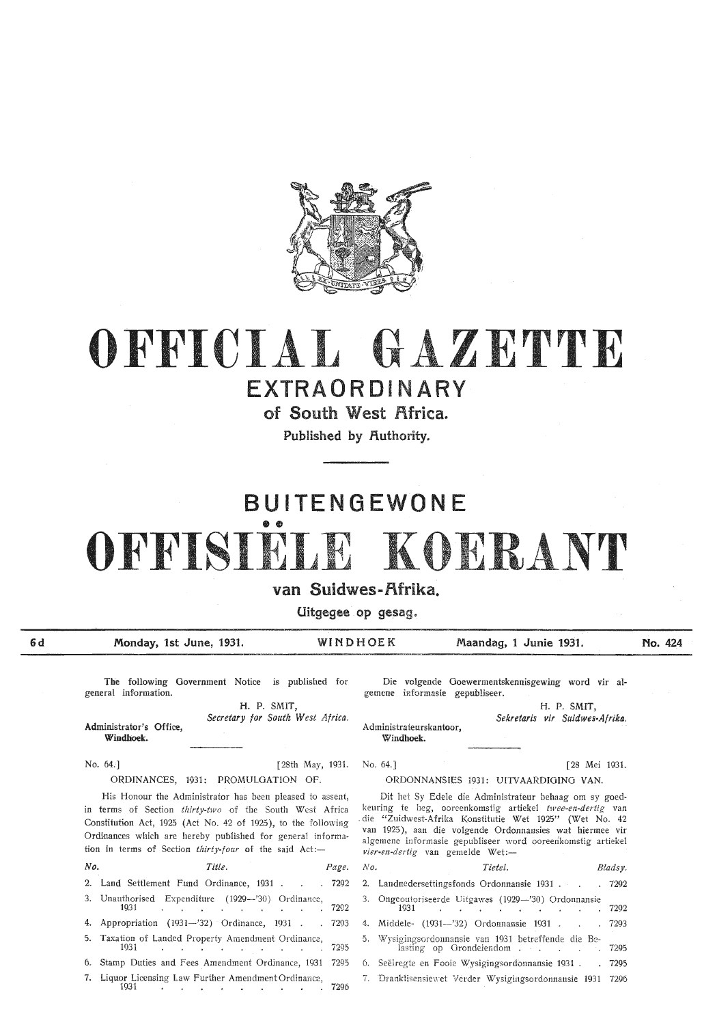

# **OFFICIAL** GAZETTE

## EXTRAORDINARY

of South West Africa.

Published by Authority.

## **BUITENGEWONE**  •• OFFISIELE KOERANT

## van Suidwes-Rfrika.

Uitgegee op gesag.

**6d**  Monday, 1st June, 1931. WINDHOEK Maandag, 1 Junie 1931. **No. 424** 

No. 64.]

The following Government Notice is published for general information.

> **H. P.** SMIT, *Secretary for South West Africa..*

Administrator's Office, **Windhoek.** 

No. 64.] [28th May, 1931. ORDINANCES, 1931: PROMULGATION OF.

His Honour the Administrator has been pleased to assent, in terms of Section *thirty-two* of the South West Africa Constitution Act, 1925 (Act No. 42 of 1925), to the following Ordinances which are hereby published for general information in terms of Section thirty-four of the said Act:-

| No. | Title.                                                                                                   | Page. No. | Tietel.                                                                                                                                                                          | E |
|-----|----------------------------------------------------------------------------------------------------------|-----------|----------------------------------------------------------------------------------------------------------------------------------------------------------------------------------|---|
|     | 2. Land Settlement Fund Ordinance, 1931 7292 2. Landnedersettingsfonds Ordonnansie 1931                  |           |                                                                                                                                                                                  |   |
|     | 3. Unauthorised Expenditure (1929—'30) Ordinance,<br>1931.                                               | 7292      | 3. Ongeoutoriseerde Uitgawes (1929-'30) Ordonnansie<br>1931 —<br>the contract of the contract of the contract of the contract of the contract of the contract of the contract of |   |
|     | 4. Appropriation (1931--'32) Ordinance, 1931 7293 4. Middele- (1931---'32) Ordonnansie 1931              |           |                                                                                                                                                                                  |   |
|     | 5. Taxation of Landed Property Amendment Ordinance,<br>1931.                                             | 7295      | 5. Wysigingsordonnansie van 1931 betreffende die Be-<br>lasting op Grondeiendom                                                                                                  |   |
|     | 6. Stamp Duties and Fees Amendment Ordinance, 1931 7295 6. Seëlregte en Fooie Wysigingsordonnansie 1931. |           |                                                                                                                                                                                  |   |
|     | 7. Liquor Licensing Law Further Amendment Ordinance,<br>1931                                             | 7296      | 7. Dranklisensiewet Verder Wysigingsordonnansie 1931                                                                                                                             |   |

Die volgende Goewermentskennisgewing word vir algernene informasie gepubliseer.

> H. **P. SMIT,**  *Sekretaris vir Suidwes-Af riko..*

Administrateurskantoor, Windhoek.

[28 Mei 1931.

#### ORDONNANSIES 1931: UITVAARDIGING VAN.

Dit het Sy Edele die Administrateur behaag om sy goedkeuring te heg, ooreenkomstig artiekel *twee-en-dertig* van . die "Zuidwest-Afrika Konstitutie Wet 1925" (Wet No. 42 van 1925 ), aan die volgende Ordonnansies wat hiermee vir algemene informasie gepubliseer word ooreerikomstig artiekel *vier-en-dertig* van gemelde Wet:-

| No. | Title.                                                                                                       | Page. No. | Tietel.                                                                              | Bladsy. |
|-----|--------------------------------------------------------------------------------------------------------------|-----------|--------------------------------------------------------------------------------------|---------|
|     | 2. Land Settlement Fund Ordinance, 1931 7292 2. Landnedersettingsfonds Ordonnansie 1931 7292                 |           |                                                                                      |         |
|     | 3. Unauthorised Expenditure (1929—'30) Ordinance,<br>1931 7292                                               |           | 3. Ongeoutoriseerde Uitgawes (1929-'30) Ordonnansie<br>1931 7292                     |         |
|     | 4. Appropriation (1931—'32) Ordinance, 1931 7293 4. Middele- (1931—'32) Ordonnansie 1931 7293                |           |                                                                                      |         |
|     |                                                                                                              |           | 5. Wysigingsordonnansie van 1931 betreffende die Be-<br>lasting op Grondeiendom 7295 |         |
|     | 6. Stamp Duties and Fees Amendment Ordinance, 1931 7295 6. Seëlregte en Fooie Wysigingsordonnansie 1931 7295 |           |                                                                                      |         |
|     | 7. Liquor Licensing Law Further Amendment Ordinance,                                                         |           | 7. Dranklisensiewet Verder Wysigingsordonnansie 1931 7296                            |         |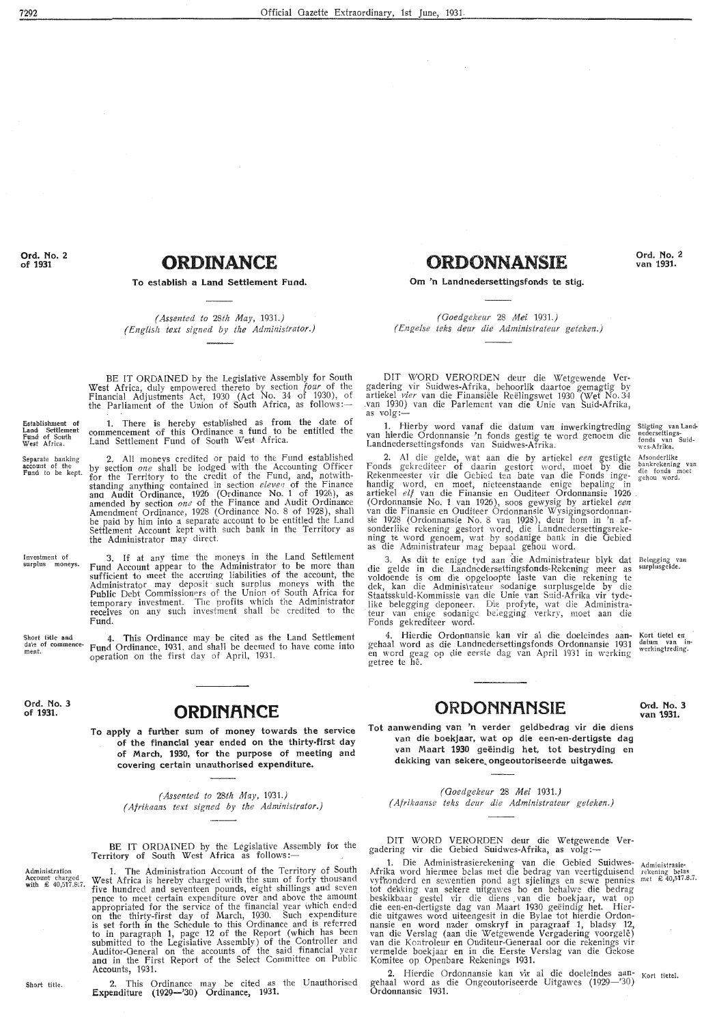**Ord. No. 2 of 1931** 

## **ORDINANCE**

**To establish a Land Settlement Fund.** 

*(Assented to 28th May, 1931.) ( English text signed by the Administrator.)* 

BE IT ORDAINED by the Legislative Assembly for South West Africa, duly empowered thereto by section *four* of the Financial Adjustments Act, 1930 (Act No. 34 of 1930), of the Parliament of the Union of South Africa, as follows:

1. There is hereby established as from the date of commencement of this Ordinance a fund to be entitled the

Establishment of<br>Land Settlement<br>Fund of South<br>West Africa.

Separate banking account of the Fund to be kept. Land Settlement Fund of South West Africa. 2. All moneys credited or paid to the Fund established by section *one* shall be lodged with the Accounting Officer for the Territory to the credit of the Fund, and, notwithstanding anything contained in section *eleven* of the Finance and Audit Ordinance, 1926 (Ordinance No. 1 of 1926), as amended by section *one* of the Finance and Audit Ordinance Amendment Ordinance, 1928 (Ordinance No. 8 of 1928), shall be paid by him into a separate account to be entitled the Land Settlement Account kept with such bank in the Territory as

Investment of<br>surplus moneys. 3. If at any time the moneys in the Land Settlement Fund Account appear to the Administrator to be more than sufficient to meet the accruing liabilities of the account, the Administrator may deposit such surplus moneys with the Public Debt Commissioners of the Union of South Africa for temporary investment. The profits which the Administrator receives on any such investment shall be credited to the Fund.

the Administrator may direct.

Short title and<br>date of commence<br>ment. 4. This Ordinance may be cited as the Land Settlement Fund Ordinance, 1931, and shall be deemed to have come into operation on the first day of April, 1931.

**Ord. No. 3 of 1931.** 

#### **ORDINANCE**

**To apply a further sum of money towards the service of the financial year ended on the thirty-first day of March, 1930, for the purpose of meeting and covering certain unauthorised expenditure.** 

> *(Assented to 28th May,* 1931.) *( Afrikaans text signed by the Administrator.)*

BE IT ORDAINED by the Legislative Assembly for the Territory of South West Africa as follows:-

1. The Administration Account of the Territory of South West Africa is hereby charged with the sum of forty thousand five hundred and seventeen pounds, eight shillings and seven pence to meet certain expenditure over and above the amount appropriated for the service of the financial year which ended on the thirty-first day of March, 1930. Such expenditure is set forth in the Schedule to this Ordinance and is referred to in paragraph 1, page 12 of the Report (which has been submitted to the Legislative Assembly) of the Controller and Auditor-General on the accounts of the said financial year and in the First Report of the Select Committee on Public Accounts, 1931.

Administration Account charged with £ 40,517.8•.7.

> 2. This Ordinance may · be cited as the Unauthorised Expenditure (1929-'30) Ordinance, 1931.

**ORDONNANSIE** 

**Om 'n Landnedersettingsfonds te stig.** 

*(Ooedg,ekeur* 28 *Mei 1931.) ( E.ngelse teks dear die Administrateur geteken.)* 

DIT WORD VERORDEN deur die Wetgewende Vergadering vir Suidwes-Afrika, behoorlik daartoe gemagtig by artiekel *vier* van die Finansiële Reëlingswet 1930 (Wet No. 34 .van 1930) van die Parlement van die Unie van Suid-Afrika, as volg:-

1. Hierby word vanaf die datum van inwerkingtreding van hierdie Ordonnansie 'n fonds gestig te word genoem die Landnedersettingsfonds van Suidwes-Afrika.

2. Al die gelde, wat aan die by artiekel *een* gestigtc Fonds gekrediteer of daarin gestort word, moet by die Rekenmeester vir die Oebied ten bate van die Fonds inge-<br>handig word, en moet, nieteenstaande enige bepaling in artiekel *elf* van die Finansie en Ouditeer Ordonnansie 1926 (Ordonnansie No. 1 van 1926), soos gewysig by artiekel *een* van die Finansie en Ouditeer Ordonnansie Wysigingsordonnan- sie 1928 (Ordonnansie No. 8 van 1928), deur horn in 'n afsonderlike rekening gestort word, die Landnedersettingsrekening te word genoem, wat by sodanige bank in die Oebied as die Administrateur mag bepaal gehou word.

Stigting van Land-<br>nedersettings-<br>fonds van Suid-<br>wes-Afrika. Afsonderlike<br>bankrekening van

**Ord. No. 2 van 1931.** 

die fonds moet g-ehou word.

3. As dit te enige tyd aan die Administrateur blyk dat Belegging van<br>surplusgelde.

die gelde in die Landnedersettingsfonds-Rekening meer as voldoende is om die opgeloopte laste van die rekening te dek, kan die Administrateur sodanige surplusgelde by die Staatsskuld-Kommissie van die Unie van Suid-Afrika vir tydelike belegging deponeer. Die profyte, wat die Administrateur van enige sodanige be;egging verkrr, moet aan die Fonds gekrediteer word.

4. Hierdie Ordonnansie kan vir al die doeleindes aan-<br>gehaal word as die Landnedersettingsfonds Ordonnansie 1931<br>en word geag op die eerste dag van April 1931 in werking getree te he. Kort tietel en<br>datum van indatum van in<br>werkingtreding.

### **ORDONNANSIE**

**Ord. No. 3 van 1931.** 

**Tot aanwending van 'n verder geldbedrag vir die diens van die boekjaar, wat op die een-en-dertigste dag van Maart 1930 geeindig het, tot bestryding en**  dekking van sekere ongeoutoriseerde uitgawes.

*(Ooedg.ekeur* 28 *Mei 1931.) ( Afrikaanse teks deur die Administrateur geteken.)* 

DIT WORD VERORDEN deur die Wetgewende **Ver**gadering vir die Gebied Suidwes-Afrika, as volg:-

1. Die Administrasierekening van die Gebied Suidwes- Administrasie Afrika word hiermee belas met die bedrag van veertigduisend rekening belas vyfhonderd en sewentien pond agt sjielings en sewe pennies met £ 40,517.8.7. *tot* dekking van sekere uitgawes bo en behalwe die bedrag beskikbaar gestel vir die diens . van die boekjaar, wat op die een-en-dertigste dag van Maart 1930 geeindig het. Hierdie uitgawes word uiteengesit in die Bylae tot hierdie Ordonnansie en word nader omskryf in paragraaf 1, bladsy 12, van die Verslag (aan die \Vetgewende Ve rgadering voorgele) van die Kontroleur en Ouditeur-Oeneraal oor die rekenings vir vermelde boekjaar en in die Eerste Verslag van die Oekose Komitee op Openbare Rekenings 1931.

2. Hierdie Ordonnansie kan vir al die doeleindes aan- Kort tietel. gehaal word as die Ongeoutoriseerde Uitgawes (1929-'30) Ordonnansie 1931.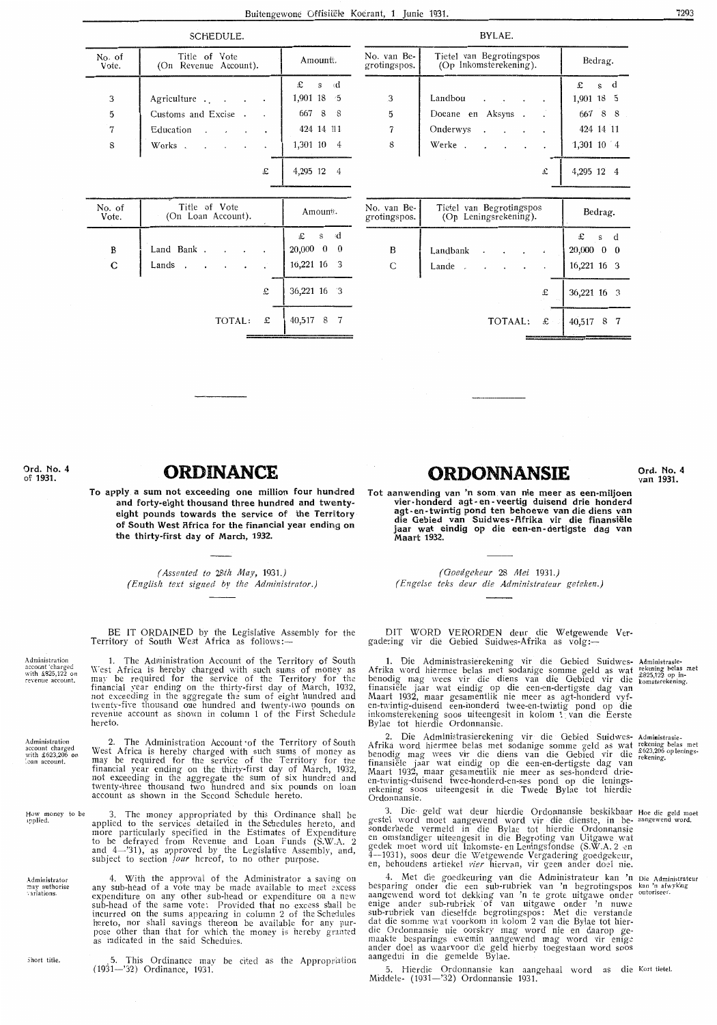No. van Be-

grotingspos.

3

 $\mathbf 5$ 

 $\overline{7}$ 

 $\bf 8$ 

| SCHEDULE.       |                                        |                          |  |  |  |
|-----------------|----------------------------------------|--------------------------|--|--|--|
| No. of<br>Vote. | Title of Vote<br>(On Revenue Account). | Amountt.                 |  |  |  |
|                 |                                        | $\mathbf{\pounds}$ s (d) |  |  |  |
| 3               | Agriculture                            | $1,901$ 18 5             |  |  |  |
| 5               | Customs and Excise.                    | 667 8 8                  |  |  |  |
| 7               | Education                              | 424 14 111               |  |  |  |
| 8               | Works                                  | 1,301 10 4               |  |  |  |
|                 | £                                      | 4,295                    |  |  |  |

| No. of<br>Vote.  | Title of Vote<br>(On Loan Account). |   | Amount.                                                       |
|------------------|-------------------------------------|---|---------------------------------------------------------------|
| B<br>$\mathbf C$ | Land Bank.<br>Lands.                |   | $\mathfrak{L}$ s d<br>$20,000 \quad 0 \quad 0$<br>16,221 16 3 |
|                  |                                     | £ | 36,221 16 3                                                   |
|                  | TOTAL: £                            |   | 40,517<br>8 7                                                 |

|                             | £                                                 | 4,295 12 4                                      |
|-----------------------------|---------------------------------------------------|-------------------------------------------------|
| No. van Be-<br>grotingspos. | Tietel van Begrotingspos<br>(Op Leningsrekening). | Bedrag.                                         |
| B<br>C                      | Landbank<br>Lande.                                | £<br>s d<br>20,000<br>$0\quad 0$<br>16,221 16 3 |
|                             | £                                                 | 36,221 16 3                                     |
|                             | $\mathbf{E}$  <br>TOTAAL:                         | 40,517<br>8 7                                   |

BYLAE.

Tietel van Begrotingspos

(Op Inkomsterekening).

Doeane en Aksyns.

Landbou

Onderwys

Werke

Ord. No. 4 of 1931.

Administration account 'charged<br>with £825,122 revenue account.

.<br>Administration

Administrator 

Short title.

## **ORDINANCE**

To apply a sum not exceeding one million four hundred and forty-eight thousand three hundred and twentyeight pounds towards the service of the Territory of South West Africa for the financial year ending on the thirty-first day of March, 1932.

> (Assented to 28th May, 1931.) (English text signed by the Administrator.)

BE IT ORDAINED by the Legislative Assembly for the Territory of South West Africa as follows:

1. The Administration Account of the Territory of South<br>West Africa is hereby charged with such sums of money as<br>may be required for the service of the Territory for the<br>financial year ending on the thirty-first day of Mar hereto.

2. The Administration Account of the Territory of South<br>West Africa is hereby charged with such sums of money as<br>may be required for the service of the Territory for the<br>financial year ending on the thirty-first day of Mar Administration<br>account charged<br>with £623,206 o<br>loan account,

- The money appropriated by this Ordinance shall be How money to be<br>applied. 3 3. The money appropriated by this Ordinance shall be<br>applied to the services detailed in the Schedules hereto, and<br>more particularly specified in the Estimates of Expenditure<br>to be defrayed from Revenue and Loan Funds (S.
	- 4. With the approval of the Administrator a saving on<br>any sub-head of a vote may be made available to meet excess<br>expenditure on any other sub-head or expenditure on a new<br>sub-head of the same vote: Provided that no excess
		- 5. This Ordinance may be cited as the Appropriation (1931-'32) Ordinance, 1931.

## ORDONNANSIE

Ord. No. 4 van 1931.

Tot aanwending van 'n som van nie meer as een-miljoen wier-honderd agt-en-veertig duisend drie honderd<br>agt-en-twintig pond ten behoewe van die diens van<br>die Gebied van Suidwes-Afrika vir die finansiële jaar wat eindig op die een-en-dertigste dag van<br>Maart 1932.

> (Goedgekeur 28 Mei 1931.) (Engelse teks deur die Administrateur geteken.)

DIT WORD VERORDEN deur die Wetgewende Vergadering vir die Gebied Suidwes-Afrika as volg:

1. Die Administrasierekening vir die Gebied Suidwes-Administrasie-<br>Afrika word hiermee belas met sodanige somme geld as wat rekening belas met<br>benodig mag wees vir die diens van die Gebied vir die komsterekening.<br>finansiël

2. Die Administrasierekening vir die Gebied Suidwes-Administrasie-<br>Afrika word hiermee belas met sodanige somme geld as wat rekening belas<br>Afrika word hiermee belas met sodanige somme geld as wat rekening belas<br>benodig mag Ordonnansie.

91 3. Die geld wat deur hierdie Ordonnansie beskikbaar Hoe die geld moet<br>gestel word moet aangewend word vir die dienste, in be-aangewend word.<br>sonderhede vermeld in die Bylae tot hierdie Ordonnansie<br>en omstandiger uiteeng

4. Met die goedkeuring van die Administrateur kan 'n bie Administrateur<br>besparing onder die een sub-rubriek van 'n begrotingspos kan 'n atwyking<br>angevend word tot dekking van 'n te grote uitgawe onder <sup>outoriseer</sup>.<br>angeven

5. Hierdie Ordonnansie kan aangehaal word as die Kort tietel.<br>Middele- (1931—'32) Ordonnansie 1931.

rekening belas met<br>
£623,206 op lenings-

Bedrag.

 $\mathbf{s}$  $\mathbf d$ 

1,901 18 5

667 8 8

424 14 11

1,301 10 4

 $\mathbf{P}$ 

÷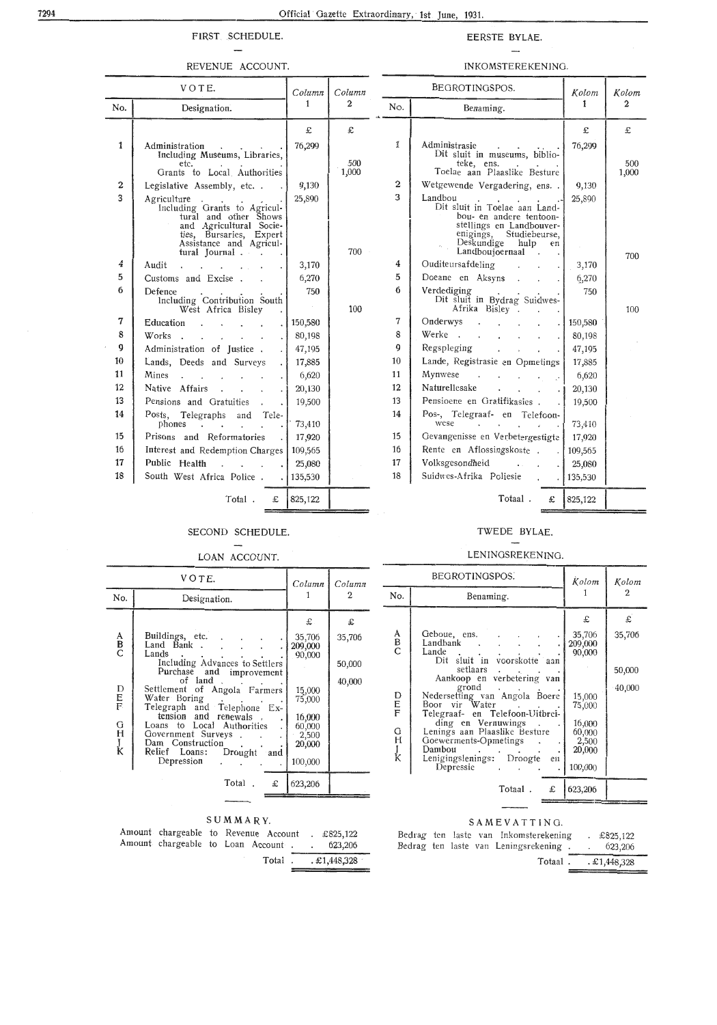#### FIRST SCHEDULE.  $\overline{\phantom{m}}$

#### REVENUE ACCOUNT.

#### EERSTE BYLAE.

#### $\overline{\phantom{a}}$ INKOMSTEREKENING.

| VOTE.       |                                                                                                                                                                                                                                                               | Column                 | Column | BEGROTINGSPOS.   |                                                                                                                                                                                             | Kolom   | Kolom          |
|-------------|---------------------------------------------------------------------------------------------------------------------------------------------------------------------------------------------------------------------------------------------------------------|------------------------|--------|------------------|---------------------------------------------------------------------------------------------------------------------------------------------------------------------------------------------|---------|----------------|
| No.         | Designation.                                                                                                                                                                                                                                                  | 1                      | 2      |                  | Benaming.                                                                                                                                                                                   | 1       | $\overline{2}$ |
|             |                                                                                                                                                                                                                                                               | £                      | £      |                  |                                                                                                                                                                                             | £       | £              |
| 1           | Administration<br>Including Museums, Libraries,                                                                                                                                                                                                               | 76,299                 |        | 1                | Administrasie .<br>Dit sluit in museums, biblio-                                                                                                                                            | 76,299  |                |
|             | etc.                                                                                                                                                                                                                                                          |                        | 500    |                  | teke, ens.<br>Toelae aan Plaaslike Besture                                                                                                                                                  |         | 500            |
| $\mathbf 2$ | Grants to Local Authorities<br>Legislative Assembly, etc. .                                                                                                                                                                                                   | 9,130                  | 1,000  | $\boldsymbol{2}$ | Wetgewende Vergadering, ens. .                                                                                                                                                              | 9,130   | 1,000          |
| 3           |                                                                                                                                                                                                                                                               | 25,890                 |        | 3                | Landbou                                                                                                                                                                                     | 25,890  |                |
|             | Agriculture<br>Including Grants to Agricul-<br>tural and other Shows<br>and Agricultural Socie-<br>ties, Bursaries, Expert<br>Assistance and Agricul-<br>tural Journal                                                                                        |                        | 700    |                  | ndbou<br>Dit sluit in Toelae aan Land-<br>bou- en andere tentoon-<br>stellings en Landbouver-<br>enigings,<br>Studiebeurse,<br>Deskundige hulp<br>en<br>Landboujoernaal .<br>$\mathbb{Z}^2$ | $\sim$  | 700            |
| 4           | Audit<br>the control of the control of                                                                                                                                                                                                                        | 3,170                  |        | 4                | Ouditeursafdeling                                                                                                                                                                           | 3,170   |                |
| 5           | Customs and Excise                                                                                                                                                                                                                                            | 6,270                  |        | 5                | Doeane en Aksyns                                                                                                                                                                            | 6,270   |                |
| 6           | Defence<br>Including Contribution South<br>West Africa Bisley                                                                                                                                                                                                 | 750<br>$\sim 10^{-11}$ | 100    | 6                | Verdediging<br>rdediging<br>Dit sluit in Bydrag Suidwes-<br>Afrika Bisley                                                                                                                   | 750     | 100            |
| 7           | Education                                                                                                                                                                                                                                                     | 150,580                |        | 7                | Onderwys                                                                                                                                                                                    | 150,580 |                |
| 8           | Works                                                                                                                                                                                                                                                         | 80,198                 |        | 8                | Werke.                                                                                                                                                                                      | 80,198  |                |
| 9           | Administration of Justice.                                                                                                                                                                                                                                    | 47,195                 |        | 9                | Regspleging                                                                                                                                                                                 | 47,195  |                |
| 10          | Lands, Deeds and Surveys                                                                                                                                                                                                                                      | 17,885                 |        | 10               | Lande, Registrasie en Opmetings                                                                                                                                                             | 17,885  |                |
| 11          | Mines                                                                                                                                                                                                                                                         | 6,620                  |        | 11               | Mynwese<br>$\label{eq:2} \mathcal{L}^{\mathcal{A}}(\mathcal{A}) = \mathcal{L}^{\mathcal{A}}(\mathcal{A}) = \mathcal{L}^{\mathcal{A}}(\mathcal{A}) = \mathcal{L}^{\mathcal{A}}(\mathcal{A})$ | 6,620   |                |
| 12          | Native Affairs                                                                                                                                                                                                                                                | 20,130                 |        | 12               | Naturellesake<br>and the state of the state of<br>$\cdot$ .                                                                                                                                 | 20,130  |                |
| 13          | Pensions and Gratuities .                                                                                                                                                                                                                                     | 19,500                 |        | 13               | Pensioene en Gratifikasies.                                                                                                                                                                 | 19,500  |                |
| 14          | Posts, Telegraphs and Tele-<br>phones in the set of the set of the set of the set of the set of the set of the set of the set of the set of the set of the set of the set of the set of the set of the set of the set of the set of the set of the set of the | 73,410                 |        | 14               | Pos-, Telegraaf- en Telefoon-<br>wese<br>and the second control of the second                                                                                                               | 73,410  |                |
| 15          | Prisons and Reformatories                                                                                                                                                                                                                                     | 17,920                 |        | 15               | Gevangenisse en Verbetergestigte                                                                                                                                                            | 17,920  |                |
| 16          | Interest and Redemption Charges                                                                                                                                                                                                                               | 109,565                |        | 16               | Rente en Aflossingskoste.                                                                                                                                                                   | 109,565 |                |
| 17          | Public Health<br>.                                                                                                                                                                                                                                            | 25,080                 |        | 17               | Volksgesondheid<br><b>Contract Contract Contract</b>                                                                                                                                        | 25,080  |                |
| 18          | South West Africa Police. .                                                                                                                                                                                                                                   | 135,530                |        | 18               | Suidwes-Afrika Poliesie .                                                                                                                                                                   | 135,530 |                |
|             | Total.<br>£                                                                                                                                                                                                                                                   | 825,122                |        |                  | Totaal.<br>£                                                                                                                                                                                | 825,122 |                |

#### SECOND SCHEDULE.  $\overline{\phantom{a}}$

#### LOAN ACCOUNT.

|                                 | VOTE.                                                                                                                                                                                                                                                                 | Column                                                             | Column                |
|---------------------------------|-----------------------------------------------------------------------------------------------------------------------------------------------------------------------------------------------------------------------------------------------------------------------|--------------------------------------------------------------------|-----------------------|
| No.                             | Designation.                                                                                                                                                                                                                                                          |                                                                    |                       |
| A<br>B<br>C                     | Buildings, etc.<br>Land Bank.<br>Lands<br>Including Advances to Settlers                                                                                                                                                                                              | £<br>35,706<br>209,000<br>90,000                                   | £<br>35,706<br>50,000 |
| D<br>F<br>F<br>G<br>H<br>J<br>K | Purchase and improvement<br>of land.<br>Settlement of Angola Farmers<br>Water Boring<br>Telegraph and Telephone Ex-<br>tension and renewals,<br>Loans to Local Authorities<br>Government Surveys<br>Dam Construction<br>Relief Loans:<br>Drought<br>and<br>Depression | 15,000<br>75,000<br>16,000<br>60,000<br>2,500<br>20,000<br>100,000 | 40,000                |
|                                 | £<br>Total                                                                                                                                                                                                                                                            | 623,206                                                            |                       |

#### SUMMARY.

| Amount chargeable to Revenue Account      |  |  | £825,122                      |
|-------------------------------------------|--|--|-------------------------------|
| Amount chargeable to Loan Account 623,206 |  |  |                               |
|                                           |  |  | Total $\therefore$ £1,448,328 |

#### TWEDE BYLAE.

#### LENINGSREKENING.

|                  | BEGROTINGSPOS.                                                                                                                          | Kolom                                          | Kolom       |
|------------------|-----------------------------------------------------------------------------------------------------------------------------------------|------------------------------------------------|-------------|
| No.              | Benaming.                                                                                                                               |                                                | 2           |
| A<br>B<br>C      | Geboue, ens.<br>Landbank                                                                                                                | £<br>35,706<br>209,000                         | £<br>35,706 |
|                  | Lande<br>sluit in voorskotte aan<br>Dit<br>setlaars<br>Aankoop en verbetering van                                                       | 90,000                                         | 50,000      |
| D<br>E<br>F      | grond<br>Nedersetting van Angola Boere<br>Boor vir Water<br>Telegraaf- en Telefoon-Uitbrei-                                             | 15,000<br>75,000                               | 40,000      |
| G<br>Ĥ<br>J<br>K | ding en Vernuwings<br>Lenings aan Plaaslike Besture<br>Goewerments-Opmetings<br>Dambou<br>Lenigingslenings: Droogte<br>en1<br>Depressie | 16,000<br>60,000<br>2,500<br>20,000<br>100,000 |             |
|                  | Totaal.<br>£                                                                                                                            | 623,206                                        |             |

#### SAMEVATTING.

|  |  | Bedrag ten laste van Inkomsterekening<br>Bedrag ten laste van Leningsrekening. | $\text{\pounds}825,122$<br>623,206 |
|--|--|--------------------------------------------------------------------------------|------------------------------------|
|  |  |                                                                                | Totaal. £1,448,328                 |

 $\overline{a}$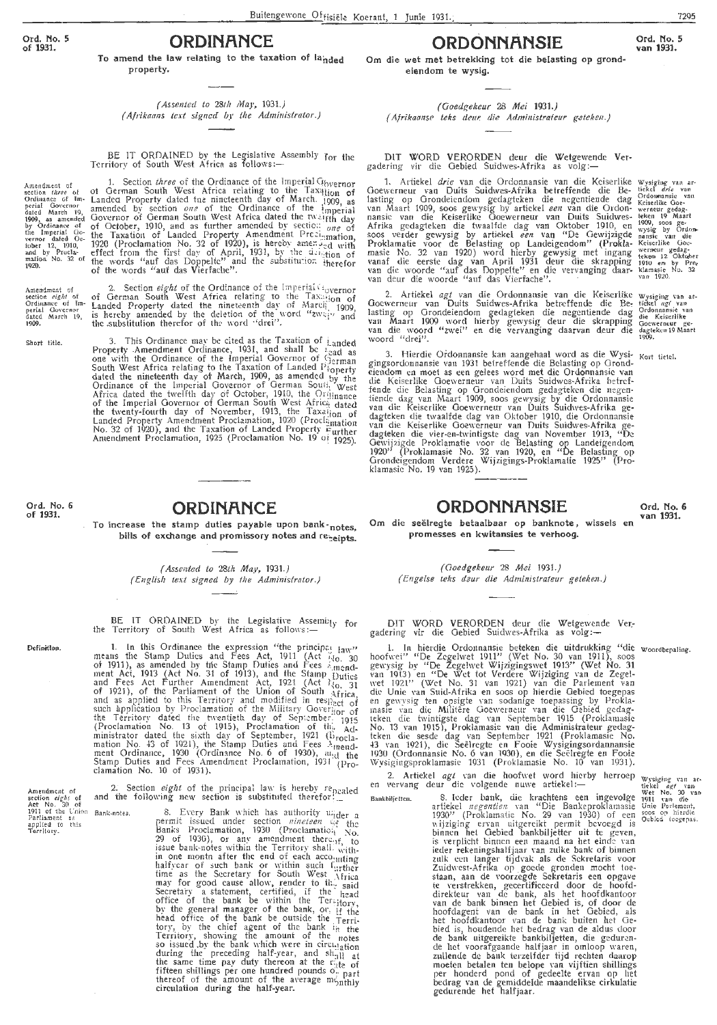Amendment of<br>section *three* of In-<br>Ordinance of Im-<br>perial Governor<br>dated March 19,<br>1909, as annended<br>the Imperial Go-<br>weror dated Oc-<br>weror dated Oc-<br>and by Procla-<br>mation No. 32 of<br>1920.

Short title.

Ord. No. 6

of 1931.

Definition.

umendment of

applied to<br>Territory.

Bank-notes.

Amendment of

## **ORDINANCE**

To amend the law relating to the taxation of landed property.

(Assented to 28th May, 1931.) (Afrikaans text signed by the Administrator.)

BE IT ORDAINED by the Legislative Assembly for the Territory of South West Africa as follows:-

1. Section three of the Ordinance of the Imperial Governor<br>of German South West Africa relating to the Taxillion of<br>Landed Property dated the nincteenth day of March. 1909, as<br>amended by section one of the Ordinance of th

2. Section *eight* of the Ordinance of the Imperial Covernor<br>of German South West Africa relating to the Taxation of<br>Landed Property dated the nineteenth day of Marcii<sub>1</sub> 1909,<br>is hereby amended by the deletion of the wor Amendment of<br>section *eight* of<br>Ordinance of Im-<br>perial Covernor<br>dated March 19,<br>1909.

3. This Ordinance may be cited as the Taxation of Landed<br>Property Amendment Ordinance, 1931, and shall be Lead as<br>one with the Ordinance of the Imperial Governor of German<br>South West Africa relating to the Taxation of Lan

#### **ORDINANCE**

To increase the stamp duties payable upon bank-notes. bills of exchange and promissory notes and reneipts.

> (Assented to 28th May, 1931.) (English text signed by the Administrator.)

BE IT ORDAINED by the Legislative Assemb<sub>ly</sub> for<br>Territory of South West Africa as follows: $the$ 

1. In this Ordinance the expression "the principal Jaw"<br>means the Stamp Duties and Fees Act, 1911 (Act  $\frac{1}{100}$ , 30<br>of 1911), as amended by the Stamp Duties and Fees Amend-<br>nent Act, 1913 (Act No. 31 of 1913), and the

2. Section eight of the principal law is hereby repealed<br>and the following new section is substituted therefor... Amendment of<br>section  $eighi$  of<br>Act No. 30 of<br>1911 of the Union<br>Parliament as<br>applied to this

wing new section is substituted therefor  $\frac{1}{1-\epsilon}$ <br>8. Every Bank which has authority uider a<br>permit issued under section *nineteen* set the<br>Banks Proclamation, 1930 (Proclamation No.<br>29 of 1930), or any amendment thereo

(Goedgekeur 28 Mei 1931.) (Afrikaanse teks deur die Administrateur geteken.)

eiendom te wysig.

DIT WORD VERORDEN deur die Wetgewende Vergadering vir die Gebied Suidwes-Afrika as volg:-

**ORDONNANSIE** 

Badering vir die Gebied Surawes-Afrika as volg.—<br>
1. Artiekel drie van die Ordonnansie van die Keiserlike Wysiging van ar-<br>
Goewerneur van Duits Suidwes-Afrika betreffende die Be- tickel drie van<br>
lasting op Grondeiendom g

2. Artiekel *agt* van die Ordonnausie van die Keiserlike wysiging van af-<br>Goewerneur van Duits Suidwes-Afrika betreffende die Be-tiekel *agt* van lasting op Grondeiendom gedagteken die negentiende dag <sup>Ordonnausie van Maa</sup>

3. Hierdie Ordonnansie kan aangehaal word as die Wysi-<br>gingssordomansie van 1931 betreffende die Belasting op Grond-<br>gingsordomansie van 1931 betreffende die Belasting op Grond-<br>eiendom en moet as een gelees word met die O

Ord. No. 6 van 1931.

Om die seëlregte betaalbaar op banknote, wissels en promesses en kwitansies te verhoog.

**ORDONNANSIE** 

(Goedgekeur 28 Mei 1931.) (Engelse teks deur die Administrateur geteken.)

DIT WORD VERORDEN deur die Wetgewende Vergadering vir die Gebied Suidwes-Afrika as volg:-

gadering vir die Gebied Suidwes-Arrika as volg:—<br>
1. In hierdie Ordonnansie beteken die uitdrukking "die woordbepaling.<br>
hoofwet" "De Zegelwet Wijzigingswet 1913" (Wet No. 30<br>
gewysig by "De Zegelwet Wijzigingswet 1913" (W

2. Artiekel  $agt$  van die hoofwet word hierby herroep en vervang deur die volgende nuwe artiekel:—

Bankbiljetten.

exet agt van die hoofveet word hierby herroep wysiging van scheur die volgende nuwe artiekel:—<br>
S. toder bank, die krachtens een ingevolge puit van die volgende nuwe artiekeleiens een ingevolge puit van die krachtens een

Om die wet met betrekking tot die belasting op grond-

Ord. No. 5

7295

van 1931.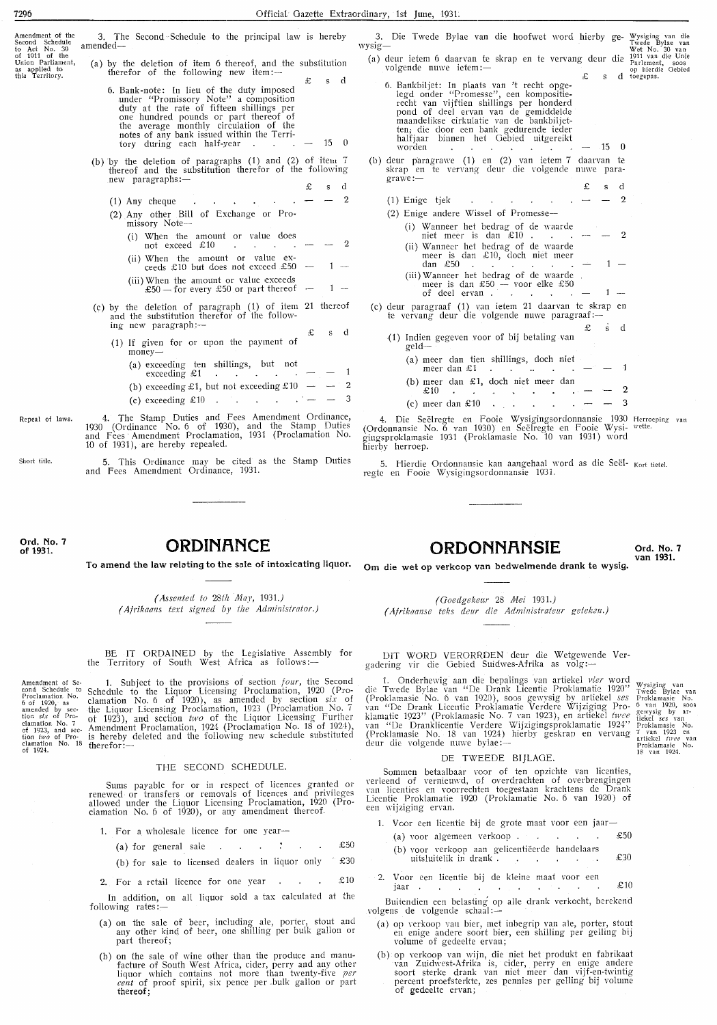| Amendment of the<br>Second Schedule<br>to Act No. 30<br>of 1911 of the<br>Union Parliament,<br>as applied to<br>this Territory. | 3. The Second Schedule to the principal law is hereby<br>amended-<br>(a) by the deletion of item 6 thereof, and the substitution<br>therefor of the following new item: $-$<br>£<br>d<br>S.<br>6. Bank-note: In lieu of the duty imposed<br>under "Promissory Note" a composition<br>duty at the rate of fifteen shillings per<br>one hundred pounds or part thereof of<br>the average monthly circulation of the<br>notes of any bank issued within the Terri-<br>15 0<br>tory during each half-year<br>$\overline{\phantom{m}}$ | 3. Die Twede Bylae van die hoofwet word hierby ge- Wysiging van die<br>Twede Bylae van<br>wysig-<br>Wet No. 30 van<br>(a) deur ietem 6 daarvan te skrap en te vervang deur die 1911 van die Unie<br>Parlement, soos<br>volgende nuwe ietem:-<br>op hierdie Gebied<br>s d toegepas.<br>6. Bankbiljet: In plaats van 't recht opge-<br>legd onder "Promesse", een kompositie-<br>recht van vijftien shillings per honderd<br>pond of deel ervan van de gemiddelde<br>maandelikse cirkulatie van de bankbiljet-<br>ten, die door een bank gedurende ieder<br>halfjaar binnen het Gebied uitgereikt<br>$\cdot 15 \quad 0$<br>worden<br>and the company of the company of the company |
|---------------------------------------------------------------------------------------------------------------------------------|-----------------------------------------------------------------------------------------------------------------------------------------------------------------------------------------------------------------------------------------------------------------------------------------------------------------------------------------------------------------------------------------------------------------------------------------------------------------------------------------------------------------------------------|----------------------------------------------------------------------------------------------------------------------------------------------------------------------------------------------------------------------------------------------------------------------------------------------------------------------------------------------------------------------------------------------------------------------------------------------------------------------------------------------------------------------------------------------------------------------------------------------------------------------------------------------------------------------------------|
|                                                                                                                                 | (b) by the deletion of paragraphs $(1)$ and $(2)$ of item 7<br>thereof and the substitution therefor of the following<br>$new$ paragraphs: $-$                                                                                                                                                                                                                                                                                                                                                                                    | (b) deur paragrawe (1) en (2) van ietem 7 daarvan te<br>skrap en te vervang deur die volgende nuwe para-<br>grawe:<br>- d<br>s                                                                                                                                                                                                                                                                                                                                                                                                                                                                                                                                                   |
|                                                                                                                                 | and a strong state of the state of<br>$(1)$ Any cheque                                                                                                                                                                                                                                                                                                                                                                                                                                                                            | (1) Enige tjek<br>$\mathbf{r} = \mathbf{r} \cdot \mathbf{r}$ , where $\mathbf{r} = \mathbf{r} \cdot \mathbf{r}$                                                                                                                                                                                                                                                                                                                                                                                                                                                                                                                                                                  |
|                                                                                                                                 | (2) Any other Bill of Exchange or Pro-                                                                                                                                                                                                                                                                                                                                                                                                                                                                                            | $(2)$ Enige andere Wissel of Promesse—                                                                                                                                                                                                                                                                                                                                                                                                                                                                                                                                                                                                                                           |
|                                                                                                                                 | $missory$ Note $-$<br>(i) When the amount or value does<br>not exceed $£10$<br>$\mathbf{r} = \mathbf{r}$ and $\mathbf{r} = \mathbf{r}$<br>(ii) When the amount or value ex-<br>ceeds £10 but does not exceed £50 -<br>$1 -$<br>(iii) When the amount or value exceeds<br>£50 — for every £50 or part thereof —<br>$1 -$                                                                                                                                                                                                           | (i) Wanneer het bedrag of de waarde<br>niet meer is dan £10. $\cdots$ $\cdots$ $\cdots$<br>$\mathbf{2}$<br>(ii) Wanneer het bedrag of de waarde<br>meer is dan $£10$ , doch niet meer<br>$\text{dan } £50$<br>(iii) Wanneer het bedrag of de waarde.<br>meer is dan £50 - voor elke £50<br>of deel ervan $-$<br>$1 -$                                                                                                                                                                                                                                                                                                                                                            |
|                                                                                                                                 | (c) by the deletion of paragraph (1) of item 21 thereof<br>and the substitution therefor of the follow-<br>ing new paragraph: $-$<br>s d<br>£<br>(1) If given for or upon the payment of                                                                                                                                                                                                                                                                                                                                          | (c) deur paragraaf (1) van ietem 21 daarvan te skrap en<br>te vervang deur die volgende nuwe paragraaf:-<br>£<br>d<br>S.<br>(1) Indien gegeven voor of bij betaling van<br>geld-                                                                                                                                                                                                                                                                                                                                                                                                                                                                                                 |
|                                                                                                                                 | $money-$<br>(a) exceeding ten shillings, but not<br>exceeding $\pounds 1$                                                                                                                                                                                                                                                                                                                                                                                                                                                         | (a) meer dan tien shillings, doch niet<br>meer dan $\&1$ $\qquad$ - 1<br>(b) meer dan $\pounds 1$ , doch niet meer dan                                                                                                                                                                                                                                                                                                                                                                                                                                                                                                                                                           |
|                                                                                                                                 | (b) exceeding £1, but not exceeding £10 $-$                                                                                                                                                                                                                                                                                                                                                                                                                                                                                       | -2<br>$\mathfrak{L}10$<br><b>All Cards</b>                                                                                                                                                                                                                                                                                                                                                                                                                                                                                                                                                                                                                                       |
|                                                                                                                                 | -3<br>(c) exceeding £10 $\cdot$                                                                                                                                                                                                                                                                                                                                                                                                                                                                                                   | (c) meer dan $\pounds 10$                                                                                                                                                                                                                                                                                                                                                                                                                                                                                                                                                                                                                                                        |
| Repeal of laws.                                                                                                                 | 4. The Stamp Duties and Fees Amendment Ordinance,<br>1930 (Ordinance No. 6 of 1930), and the Stamp Duties<br>and Fees Amendment Proclamation, 1931 (Proclamation No.<br>10 of 1931), are hereby repealed.                                                                                                                                                                                                                                                                                                                         | 4. Die Seëlregte en Fooie Wysigingsordonnansie 1930 Herroeping van<br>(Ordonnansie No. 6 van 1930) en Seëlregte en Fooie Wysi- wette.<br>gingsproklamasie 1931 (Proklamasie No. 10 van 1931) word<br>hierby herroep.                                                                                                                                                                                                                                                                                                                                                                                                                                                             |
| Short title.                                                                                                                    | 5. This Ordinance may be cited as the Stamp Duties<br>and Fees Amendment Ordinance, 1931.                                                                                                                                                                                                                                                                                                                                                                                                                                         | 5. Hierdie Ordonnansie kan aangehaal word as die Seël- <sub>Kort tietel.</sub><br>regte en Fooie Wysigingsordonnansie 1931.                                                                                                                                                                                                                                                                                                                                                                                                                                                                                                                                                      |

**Ord. No. 7 of 1931.** 

#### **ORDINANCE**

**To amend the law relating to the sale of intoxicating liquor. Om die wet op verkoop van bedwelmende drank te wysig.** 

*( Assented to 28th May,* 1931.) *( Afrikaans text signed by the Administrator.)* 

BE **IT** ORDAINED by the Legislative Assembly for the Territory of South West Africa as follows:-

Amendment of Se-<br>
com d Schedule to<br>
Proclamation No.<br>
amended by sec-<br>
tion *six* of Pro-<br>
clamation No. 7<br>
clamation No. 7<br>
clamation No. 18<br>
clamation No. 18<br>
clamation No. 18<br>
of 1924. 1. Subject to the provisions of section *four,* the Second Schedule to the Liquor Licensing Proclamation, 1920 (Proclamation No. 6 of 1920), as amended by section *six* of the Liquor Licensing Proclamation, 1923 (Proclamation No. 7 ot 1923), and section *two* of the Liquor Licensing further Amendment Proclamation, 1924 (Proclamation No. 18 of 1924), is hereby deleted and the following new schedule substituted therefor: $-$ 

#### THE SECOND SCHEDULE.

Sums payable for or in respect of licences granted or renewed or transfers or removals of licences and privileges allowed under the Liquor Licensing Proclamation, 1920 (Proclamation No. 6 of 1920), or any amendment thereof.

1. For a wholesale licence for one year-

- (a) for general sale  $\therefore$   $\therefore$   $\therefore$   $\therefore$   $\pm 50$
- (b) for sale to licensed dealers in liquor only  $\degree$  £30
- 2. For a retail licence for one year  $\cdot$   $\cdot$   $\cdot$   $\cdot$   $\cdot$   $\pm$  10

In addition, on all liquor sold a tax calculated at the following rates:

- (a) on the sale of beer, including ale, porter, stout and any other kind of beer, one shilling per bulk gallon or part thereof;
- (b) on the sale of wine other than the produce and manu- facture of South West Africa, cider, perry and any other liquor which contains not more than twenty-five *per cent* of proof spirit, six pence per .bulk gallon or part **thereof;**

**QRDQNNflNSJE Ord. No. 7 van 1931.** 

*(Ooedgekeur* 28 *Mei 1931.) (Afrikaanse teks deur die Administrateur geteken.)* 

DIT WORD VERORRDEN deur die Wetgewende Vergadering vir die Gebied Suidwes-Afrika as volg:-

1. Onderhewig aan die bepalings van artiekel *vier* word die Twede Bvlae van "De Drank Licentie Proklamatie 1920" (Proklamasie ·No. 6 van 192D), soos ge\vysig by artiekel *ses*  van "De Drank Licentie Proklamatie Verdere Wijziging Proklamatie 1923" (Proklamasie No. 7 van 1923), en artiekel *twee*  van "De Dranklicentie Verdere Wijzigingsproklamatie 1924'' (Proklamasie No. 18 van 1924) hierby geskrap en vervang<br>deur die volgende nuwe bylae:— Wysiging van<br>Twede Bylae van<br>Proklamasie- No.<br>6 van 1920, soos<br>gewysig by ar-<br>tiekel *ses* van<br>Proklamasie- No. 7 van 1923 en<br>artiekel *twee* van<br>Proklamasie No.<br>18 van 1924.

#### DE TWEEDE BIJLAOE.

Somrnen betaalbaar voor of ten opzichte van licenties, verleend of vernieuwd, of overdrachten of overbrengingen<br>van licenties en voorrechten toegestaan krachtens de Drank Licentie Proklamatie 1920 (Proklamatie No. 6 van 1920) of een wijziging ervan.

- 1. Voor een licentie bij de grote maat voor een jaar-
- (a) voor alg·emeen verkoop . £50
- (b) voor verkoop aan gelicentiëerde handelaars uitsluitelik in drank  $\ddot{i}$  .  $\ddot{j}$  .  $\ddot{k}$  .  $\ddot{k}$  .  $\ddot{k}$  .
- 2. Voor een licentie bij de kleine maat voor een jaar  $\text{\pounds}10$

Buitendien een belasting op alle drank verkocht, berekend volgens de volgende schaal:—

- (a) op \·erkoop van bier, met inbegrip van ale, porter, stout en enige anclere soort bier, een shilling per gelling bij volume of gedeelte ervan;
- (b) op verkoop van wijn, die niet het produkt en fabrikaat van Zuidwest-Afrika is, cider, perry en enige andere soort sterke drank van niet meer clan vijf-en-twintig percent proefsterkte, zes pennies per gelling bij volume of gedeelte ervan;